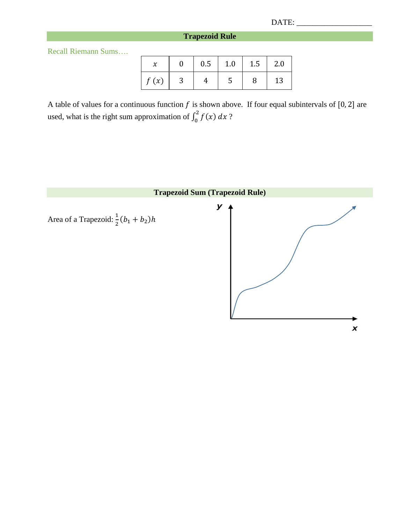## **Trapezoid Rule**

Recall Riemann Sums….

|      | 0.5 | 1.0 | 1.5 | 2.0 |
|------|-----|-----|-----|-----|
| f(x) |     |     |     | 13  |

A table of values for a continuous function  $f$  is shown above. If four equal subintervals of [0, 2] are used, what is the right sum approximation of  $\int_0^2 f(x) dx$ ?

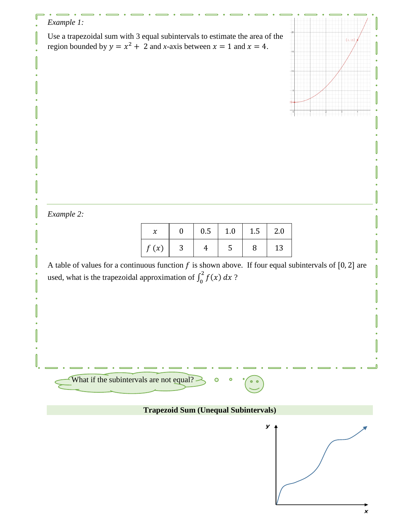## *Example 1:*

Use a trapezoidal sum with 3 equal subintervals to estimate the area of the region bounded by  $y = x^2 + 2$  and *x*-axis between  $x = 1$  and  $x = 4$ .



*Example 2:*

|             |   | 0.5 | 1.0 | 1.5 | 2.0 |
|-------------|---|-----|-----|-----|-----|
| $\int f(x)$ | ມ |     |     | 8   | 13  |

A table of values for a continuous function  $f$  is shown above. If four equal subintervals of [0, 2] are used, what is the trapezoidal approximation of  $\int_0^2 f(x) dx$ ?